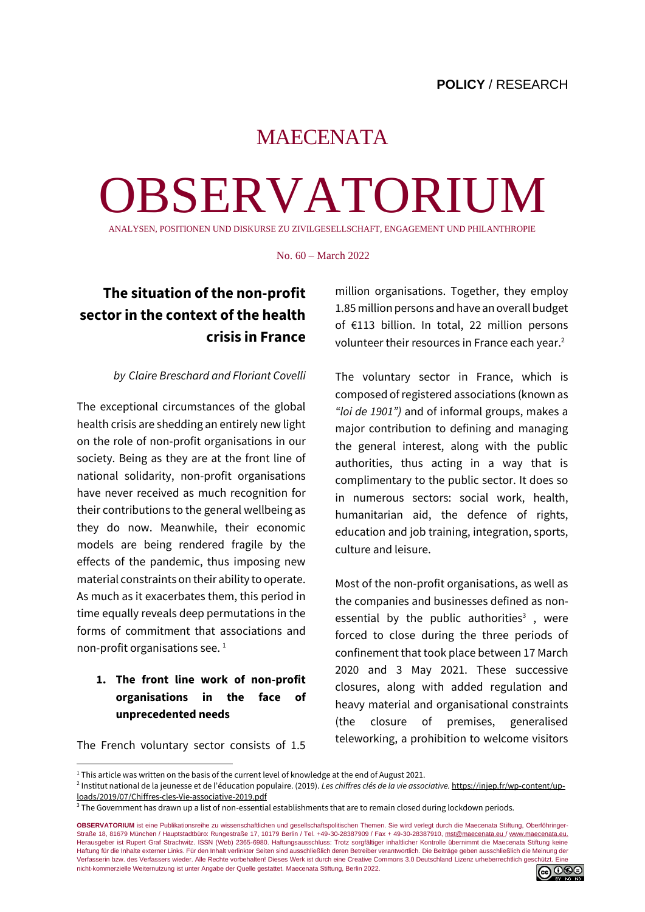# MAECENATA

# OBSERVATORIUM

ANALYSEN, POSITIONEN UND DISKURSE ZU ZIVILGESELLSCHAFT, ENGAGEMENT UND PHILANTHROPIE

No. 60 – March 2022

# **The situation of the non-profit sector in the context of the health crisis in France**

#### *by Claire Breschard and Floriant Covelli*

The exceptional circumstances of the global health crisis are shedding an entirely new light on the role of non-profit organisations in our society. Being as they are at the front line of national solidarity, non-profit organisations have never received as much recognition for their contributions to the general wellbeing as they do now. Meanwhile, their economic models are being rendered fragile by the effects of the pandemic, thus imposing new material constraints on their ability to operate. As much as it exacerbates them, this period in time equally reveals deep permutations in the forms of commitment that associations and non-profit organisations see.  $1$ 

# **1. The front line work of non-profit organisations in the face of unprecedented needs**

The French voluntary sector consists of 1.5

million organisations. Together, they employ 1.85 million persons and have an overall budget of €113 billion. In total, 22 million persons volunteer their resources in France each year. $^2$ 

The voluntary sector in France, which is composed of registered associations (known as *"loi de 1901")* and of informal groups, makes a major contribution to defining and managing the general interest, along with the public authorities, thus acting in a way that is complimentary to the public sector. It does so in numerous sectors: social work, health, humanitarian aid, the defence of rights, education and job training, integration, sports, culture and leisure.

Most of the non-profit organisations, as well as the companies and businesses defined as nonessential by the public authorities<sup>3</sup>, were forced to close during the three periods of confinement that took place between 17 March 2020 and 3 May 2021. These successive closures, along with added regulation and heavy material and organisational constraints (the closure of premises, generalised teleworking, a prohibition to welcome visitors

**OBSERVATORIUM** ist eine Publikationsreihe zu wissenschaftlichen und gesellschaftspolitischen Themen. Sie wird verlegt durch die Maecenata Stiftung, Oberföhringer-Straße 18, 81679 München / Hauptstadtbüro: Rungestraße 17, 10179 Berlin / Tel. +49-30-28387909 / Fax + 49-30-28387910[, mst@maecenata.eu /](file://///Users/nathaliePrange/Documents/Uni/EU%20Video%20/Maecenata%20Praktikum/%2522ma) [www.maecenata.eu.](http://www.maecenata.eu/) Herausgeber ist Rupert Graf Strachwitz. ISSN (Web) 2365-6980. Haftungsausschluss: Trotz sorgfältiger inhaltlicher Kontrolle übernimmt die Maecenata Stiftung keine Haftung für die Inhalte externer Links. Für den Inhalt verlinkter Seiten sind ausschließlich deren Betreiber verantwortlich. Die Beiträge geben ausschließlich die Meinung der Verfasserin bzw. des Verfassers wieder. Alle Rechte vorbehalten! Dieses Werk ist durch eine Creative Commons 3.0 Deutschland Lizenz urheberrechtlich geschützt. Eine nicht-kommerzielle Weiternutzung ist unter Angabe der Quelle gestattet. Maecenata Stiftung, Berlin 2022.



<sup>&</sup>lt;sup>1</sup> This article was written on the basis of the current level of knowledge at the end of August 2021.

<sup>2</sup> Institut national de la jeunesse et de l'éducation populaire. (2019). *Les chiffres clés de la vie associative.* [https://injep.fr/wp-content/up](https://injep.fr/wp-content/uploads/2019/07/Chiffres-cles-Vie-associative-2019.pdf)[loads/2019/07/Chiffres-cles-Vie-associative-2019.pdf](https://injep.fr/wp-content/uploads/2019/07/Chiffres-cles-Vie-associative-2019.pdf)

<sup>&</sup>lt;sup>3</sup> The Government has drawn up a list of non-essential establishments that are to remain closed during lockdown periods.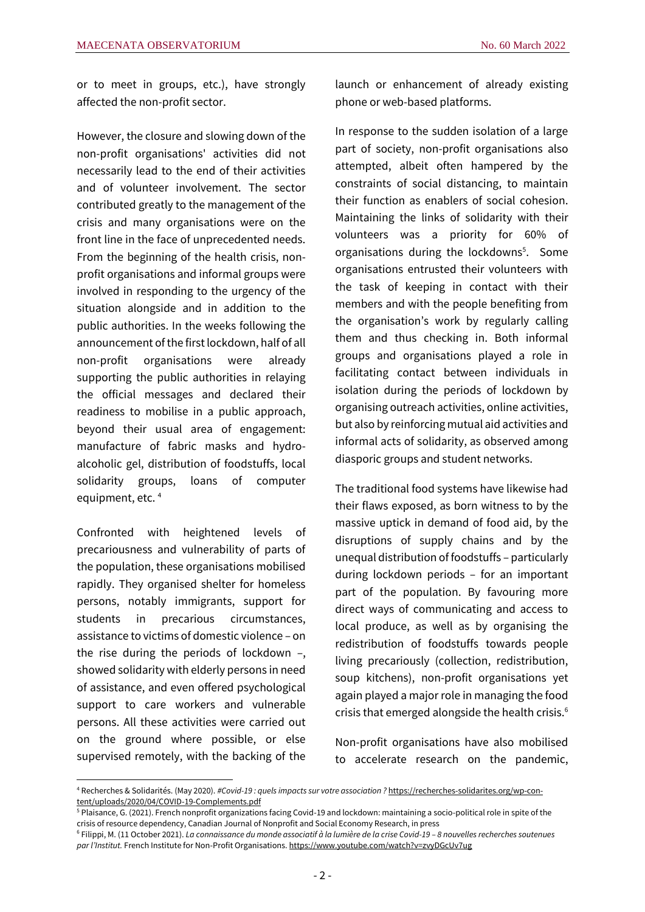or to meet in groups, etc.), have strongly affected the non-profit sector.

However, the closure and slowing down of the non-profit organisations' activities did not necessarily lead to the end of their activities and of volunteer involvement. The sector contributed greatly to the management of the crisis and many organisations were on the front line in the face of unprecedented needs. From the beginning of the health crisis, nonprofit organisations and informal groups were involved in responding to the urgency of the situation alongside and in addition to the public authorities. In the weeks following the announcement of the first lockdown, half of all non-profit organisations were already supporting the public authorities in relaying the official messages and declared their readiness to mobilise in a public approach, beyond their usual area of engagement: manufacture of fabric masks and hydroalcoholic gel, distribution of foodstuffs, local solidarity groups, loans of computer equipment, etc.<sup>4</sup>

Confronted with heightened levels of precariousness and vulnerability of parts of the population, these organisations mobilised rapidly. They organised shelter for homeless persons, notably immigrants, support for students in precarious circumstances, assistance to victims of domestic violence – on the rise during the periods of lockdown –, showed solidarity with elderly persons in need of assistance, and even offered psychological support to care workers and vulnerable persons. All these activities were carried out on the ground where possible, or else supervised remotely, with the backing of the launch or enhancement of already existing phone or web-based platforms.

In response to the sudden isolation of a large part of society, non-profit organisations also attempted, albeit often hampered by the constraints of social distancing, to maintain their function as enablers of social cohesion. Maintaining the links of solidarity with their volunteers was a priority for 60% of organisations during the lockdowns<sup>5</sup>. Some organisations entrusted their volunteers with the task of keeping in contact with their members and with the people benefiting from the organisation's work by regularly calling them and thus checking in. Both informal groups and organisations played a role in facilitating contact between individuals in isolation during the periods of lockdown by organising outreach activities, online activities, but also by reinforcing mutual aid activities and informal acts of solidarity, as observed among diasporic groups and student networks.

The traditional food systems have likewise had their flaws exposed, as born witness to by the massive uptick in demand of food aid, by the disruptions of supply chains and by the unequal distribution of foodstuffs – particularly during lockdown periods – for an important part of the population. By favouring more direct ways of communicating and access to local produce, as well as by organising the redistribution of foodstuffs towards people living precariously (collection, redistribution, soup kitchens), non-profit organisations yet again played a major role in managing the food crisis that emerged alongside the health crisis. $6$ 

Non-profit organisations have also mobilised to accelerate research on the pandemic,

<sup>4</sup> Recherches & Solidarités. (May 2020). *#Covid-19 : quels impacts sur votre association ?* [https://recherches-solidarites.org/wp-con](https://recherches-solidarites.org/wp-content/uploads/2020/04/COVID-19-Complements.pdf)[tent/uploads/2020/04/COVID-19-Complements.pdf](https://recherches-solidarites.org/wp-content/uploads/2020/04/COVID-19-Complements.pdf)

<sup>5</sup> Plaisance, G. (2021). French nonprofit organizations facing Covid-19 and lockdown: maintaining a socio-political role in spite of the crisis of resource dependency, Canadian Journal of Nonprofit and Social Economy Research, in press

<sup>6</sup> Filippi, M. (11 October 2021). *La connaissance du monde associatif à la lumière de la crise Covid-19 – 8 nouvelles recherches soutenues par l'Institut.* French Institute for Non-Profit Organisations[. https://www.youtube.com/watch?v=zvyDGcUv7ug](https://www.youtube.com/watch?v=zvyDGcUv7ug)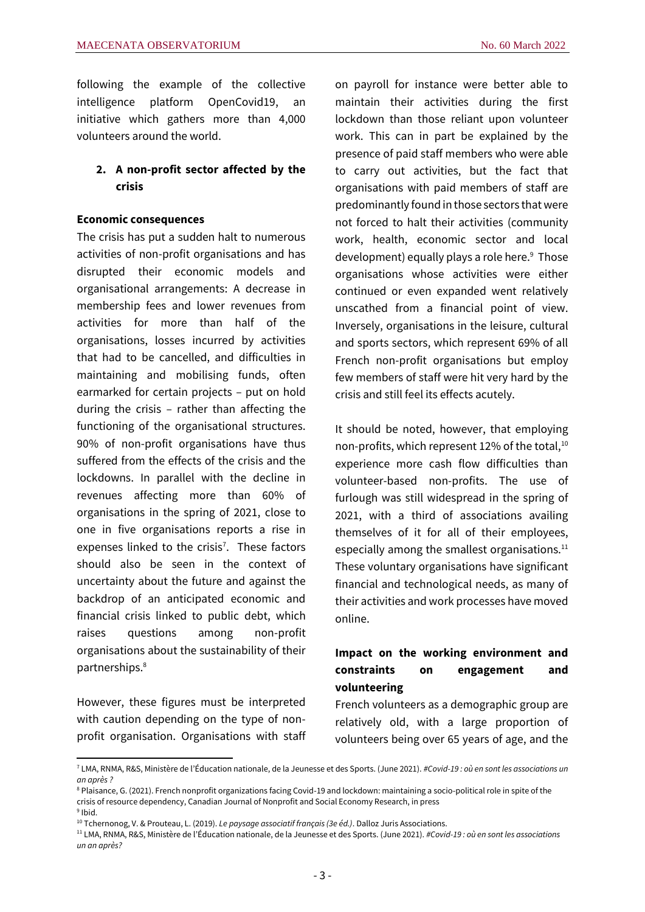following the example of the collective intelligence platform OpenCovid19, an initiative which gathers more than 4,000 volunteers around the world.

### **2. A non-profit sector affected by the crisis**

#### **Economic consequences**

The crisis has put a sudden halt to numerous activities of non-profit organisations and has disrupted their economic models and organisational arrangements: A decrease in membership fees and lower revenues from activities for more than half of the organisations, losses incurred by activities that had to be cancelled, and difficulties in maintaining and mobilising funds, often earmarked for certain projects – put on hold during the crisis – rather than affecting the functioning of the organisational structures. 90% of non-profit organisations have thus suffered from the effects of the crisis and the lockdowns. In parallel with the decline in revenues affecting more than 60% of organisations in the spring of 2021, close to one in five organisations reports a rise in expenses linked to the crisis<sup>7</sup>. These factors should also be seen in the context of uncertainty about the future and against the backdrop of an anticipated economic and financial crisis linked to public debt, which raises questions among non-profit organisations about the sustainability of their partnerships.<sup>8</sup>

However, these figures must be interpreted with caution depending on the type of nonprofit organisation. Organisations with staff on payroll for instance were better able to maintain their activities during the first lockdown than those reliant upon volunteer work. This can in part be explained by the presence of paid staff members who were able to carry out activities, but the fact that organisations with paid members of staff are predominantly found in those sectors that were not forced to halt their activities (community work, health, economic sector and local development) equally plays a role here.<sup>9</sup> Those organisations whose activities were either continued or even expanded went relatively unscathed from a financial point of view. Inversely, organisations in the leisure, cultural and sports sectors, which represent 69% of all French non-profit organisations but employ few members of staff were hit very hard by the crisis and still feel its effects acutely.

It should be noted, however, that employing non-profits, which represent 12% of the total, $^{10}$ experience more cash flow difficulties than volunteer-based non-profits. The use of furlough was still widespread in the spring of 2021, with a third of associations availing themselves of it for all of their employees, especially among the smallest organisations. $11$ These voluntary organisations have significant financial and technological needs, as many of their activities and work processes have moved online.

# **Impact on the working environment and constraints on engagement and volunteering**

French volunteers as a demographic group are relatively old, with a large proportion of volunteers being over 65 years of age, and the

<sup>7</sup> LMA, RNMA, R&S, Ministère de l'Éducation nationale, de la Jeunesse et des Sports. (June 2021). *#Covid-19 : où en sont les associations un an après ?*

<sup>&</sup>lt;sup>8</sup> Plaisance, G. (2021). French nonprofit organizations facing Covid-19 and lockdown: maintaining a socio-political role in spite of the crisis of resource dependency, Canadian Journal of Nonprofit and Social Economy Research, in press

<sup>&</sup>lt;sup>9</sup> Ibid. <sup>10</sup> Tchernonog, V. & Prouteau, L. (2019). *Le paysage associatif français (3e éd.)*. Dalloz Juris Associations.

<sup>11</sup> LMA, RNMA, R&S, Ministère de l'Éducation nationale, de la Jeunesse et des Sports. (June 2021). *#Covid-19 : où en sont les associations un an après?*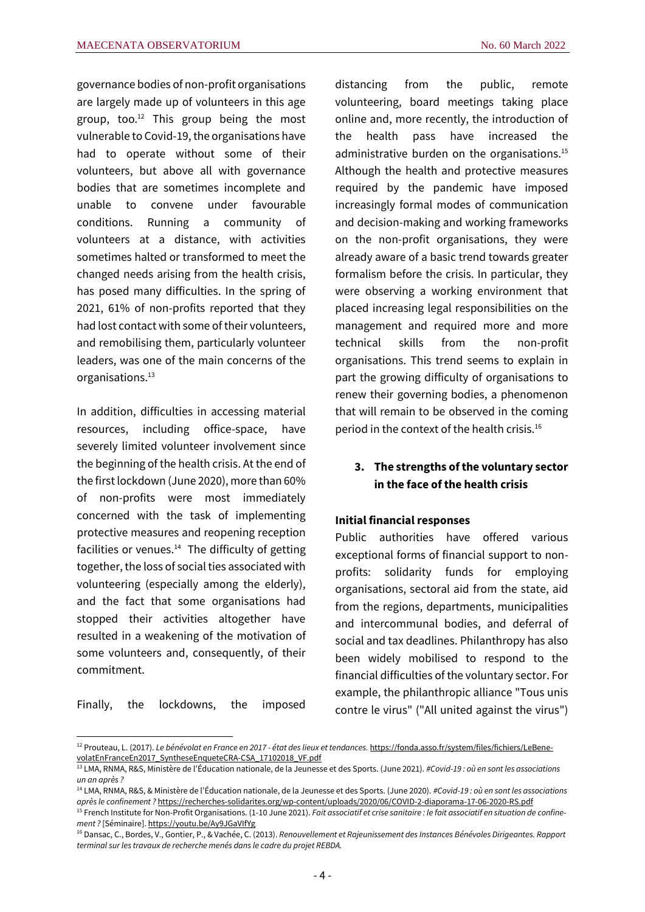governance bodies of non-profit organisations are largely made up of volunteers in this age group, too. <sup>12</sup> This group being the most vulnerable to Covid-19, the organisations have had to operate without some of their volunteers, but above all with governance bodies that are sometimes incomplete and unable to convene under favourable conditions. Running a community of volunteers at a distance, with activities sometimes halted or transformed to meet the changed needs arising from the health crisis, has posed many difficulties. In the spring of 2021, 61% of non-profits reported that they had lost contact with some of their volunteers, and remobilising them, particularly volunteer leaders, was one of the main concerns of the organisations.<sup>13</sup>

In addition, difficulties in accessing material resources, including office-space, have severely limited volunteer involvement since the beginning of the health crisis. At the end of the first lockdown (June 2020), more than 60% of non-profits were most immediately concerned with the task of implementing protective measures and reopening reception facilities or venues. $14$  The difficulty of getting together, the loss of social ties associated with volunteering (especially among the elderly), and the fact that some organisations had stopped their activities altogether have resulted in a weakening of the motivation of some volunteers and, consequently, of their commitment.

Finally, the lockdowns, the imposed

distancing from the public, remote volunteering, board meetings taking place online and, more recently, the introduction of the health pass have increased the administrative burden on the organisations.<sup>15</sup> Although the health and protective measures required by the pandemic have imposed increasingly formal modes of communication and decision-making and working frameworks on the non-profit organisations, they were already aware of a basic trend towards greater formalism before the crisis. In particular, they were observing a working environment that placed increasing legal responsibilities on the management and required more and more technical skills from the non-profit organisations. This trend seems to explain in part the growing difficulty of organisations to renew their governing bodies, a phenomenon that will remain to be observed in the coming period in the context of the health crisis.<sup>16</sup>

## **3. The strengths of the voluntary sector in the face of the health crisis**

#### **Initial financial responses**

Public authorities have offered various exceptional forms of financial support to nonprofits: solidarity funds for employing organisations, sectoral aid from the state, aid from the regions, departments, municipalities and intercommunal bodies, and deferral of social and tax deadlines. Philanthropy has also been widely mobilised to respond to the financial difficulties of the voluntary sector. For example, the philanthropic alliance "Tous unis contre le virus" ("All united against the virus")

<sup>12</sup> Prouteau, L. (2017). *Le bénévolat en France en 2017 - état des lieux et tendances.* [https://fonda.asso.fr/system/files/fichiers/LeBene](https://fonda.asso.fr/system/files/fichiers/LeBenevolatEnFranceEn2017_SyntheseEnqueteCRA-CSA_17102018_VF.pdf)[volatEnFranceEn2017\\_SyntheseEnqueteCRA-CSA\\_17102018\\_VF.pdf](https://fonda.asso.fr/system/files/fichiers/LeBenevolatEnFranceEn2017_SyntheseEnqueteCRA-CSA_17102018_VF.pdf)

<sup>13</sup> LMA, RNMA, R&S, Ministère de l'Éducation nationale, de la Jeunesse et des Sports. (June 2021). *#Covid-19 : où en sont les associations un an après ?*

<sup>14</sup> LMA, RNMA, R&S, & Ministère de l'Éducation nationale, de la Jeunesse et des Sports. (June 2020). *#Covid-19 : où en sont les associations après le confinement ?* <https://recherches-solidarites.org/wp-content/uploads/2020/06/COVID-2-diaporama-17-06-2020-RS.pdf>

<sup>&</sup>lt;sup>15</sup> French Institute for Non-Profit Organisations. (1-10 June 2021). Fait associatif et crise sanitaire : le fait associatif en situation de confine*ment ?* [Séminaire][. https://youtu.be/Ay9JGaVIfYg](https://youtu.be/Ay9JGaVIfYg)

<sup>16</sup> Dansac, C., Bordes, V., Gontier, P., & Vachée, C. (2013). *Renouvellement et Rajeunissement des Instances Bénévoles Dirigeantes. Rapport terminal sur les travaux de recherche menés dans le cadre du projet REBDA.*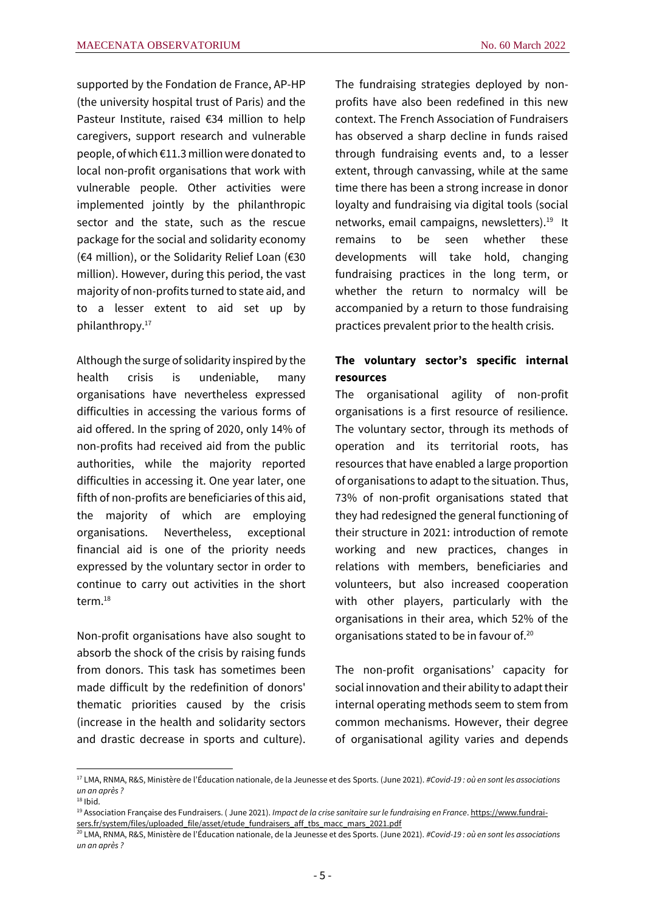supported by the Fondation de France, AP-HP (the university hospital trust of Paris) and the Pasteur Institute, raised €34 million to help caregivers, support research and vulnerable people, of which €11.3 million were donated to local non-profit organisations that work with vulnerable people. Other activities were implemented jointly by the philanthropic sector and the state, such as the rescue package for the social and solidarity economy (€4 million), or the Solidarity Relief Loan (€30 million). However, during this period, the vast majority of non-profits turned to state aid, and to a lesser extent to aid set up by philanthropy.<sup>17</sup>

Although the surge of solidarity inspired by the health crisis is undeniable, many organisations have nevertheless expressed difficulties in accessing the various forms of aid offered. In the spring of 2020, only 14% of non-profits had received aid from the public authorities, while the majority reported difficulties in accessing it. One year later, one fifth of non-profits are beneficiaries of this aid, the majority of which are employing organisations. Nevertheless, exceptional financial aid is one of the priority needs expressed by the voluntary sector in order to continue to carry out activities in the short term.<sup>18</sup>

Non-profit organisations have also sought to absorb the shock of the crisis by raising funds from donors. This task has sometimes been made difficult by the redefinition of donors' thematic priorities caused by the crisis (increase in the health and solidarity sectors and drastic decrease in sports and culture). The fundraising strategies deployed by nonprofits have also been redefined in this new context. The French Association of Fundraisers has observed a sharp decline in funds raised through fundraising events and, to a lesser extent, through canvassing, while at the same time there has been a strong increase in donor loyalty and fundraising via digital tools (social networks, email campaigns, newsletters).<sup>19</sup> It remains to be seen whether these developments will take hold, changing fundraising practices in the long term, or whether the return to normalcy will be accompanied by a return to those fundraising practices prevalent prior to the health crisis.

# **The voluntary sector's specific internal resources**

The organisational agility of non-profit organisations is a first resource of resilience. The voluntary sector, through its methods of operation and its territorial roots, has resources that have enabled a large proportion of organisations to adapt to the situation. Thus, 73% of non-profit organisations stated that they had redesigned the general functioning of their structure in 2021: introduction of remote working and new practices, changes in relations with members, beneficiaries and volunteers, but also increased cooperation with other players, particularly with the organisations in their area, which 52% of the organisations stated to be in favour of.<sup>20</sup>

The non-profit organisations' capacity for social innovation and their ability to adapt their internal operating methods seem to stem from common mechanisms. However, their degree of organisational agility varies and depends

<sup>17</sup> LMA, RNMA, R&S, Ministère de l'Éducation nationale, de la Jeunesse et des Sports. (June 2021). *#Covid-19 : où en sont les associations un an après ?*  $18$  Ibid.

<sup>19</sup> Association Française des Fundraisers. ( June 2021). *Impact de la crise sanitaire sur le fundraising en France*[. https://www.fundrai](https://www.fundraisers.fr/system/files/uploaded_file/asset/etude_fundraisers_aff_tbs_macc_mars_2021.pdf)[sers.fr/system/files/uploaded\\_file/asset/etude\\_fundraisers\\_aff\\_tbs\\_macc\\_mars\\_2021.pdf](https://www.fundraisers.fr/system/files/uploaded_file/asset/etude_fundraisers_aff_tbs_macc_mars_2021.pdf)

<sup>20</sup> LMA, RNMA, R&S, Ministère de l'Éducation nationale, de la Jeunesse et des Sports. (June 2021). *#Covid-19 : où en sont les associations un an après ?*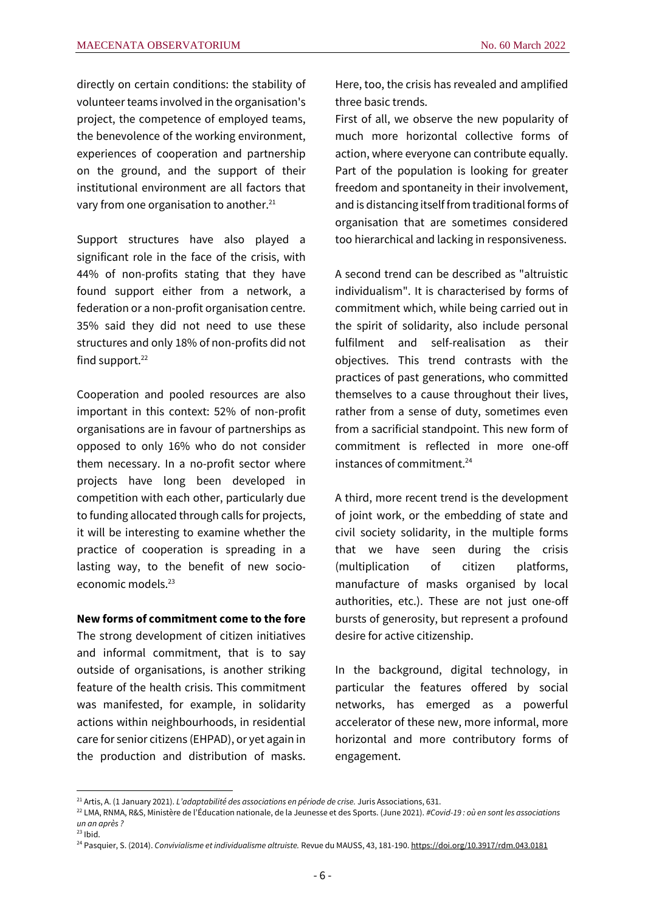directly on certain conditions: the stability of volunteer teams involved in the organisation's project, the competence of employed teams, the benevolence of the working environment, experiences of cooperation and partnership on the ground, and the support of their institutional environment are all factors that vary from one organisation to another.<sup>21</sup>

Support structures have also played a significant role in the face of the crisis, with 44% of non-profits stating that they have found support either from a network, a federation or a non-profit organisation centre. 35% said they did not need to use these structures and only 18% of non-profits did not find support. $22$ 

Cooperation and pooled resources are also important in this context: 52% of non-profit organisations are in favour of partnerships as opposed to only 16% who do not consider them necessary. In a no-profit sector where projects have long been developed in competition with each other, particularly due to funding allocated through calls for projects, it will be interesting to examine whether the practice of cooperation is spreading in a lasting way, to the benefit of new socioeconomic models.<sup>23</sup>

#### **New forms of commitment come to the fore**

The strong development of citizen initiatives and informal commitment, that is to say outside of organisations, is another striking feature of the health crisis. This commitment was manifested, for example, in solidarity actions within neighbourhoods, in residential care for senior citizens (EHPAD), or yet again in the production and distribution of masks. Here, too, the crisis has revealed and amplified three basic trends.

First of all, we observe the new popularity of much more horizontal collective forms of action, where everyone can contribute equally. Part of the population is looking for greater freedom and spontaneity in their involvement, and is distancing itself from traditional forms of organisation that are sometimes considered too hierarchical and lacking in responsiveness.

A second trend can be described as "altruistic individualism". It is characterised by forms of commitment which, while being carried out in the spirit of solidarity, also include personal fulfilment and self-realisation as their objectives. This trend contrasts with the practices of past generations, who committed themselves to a cause throughout their lives, rather from a sense of duty, sometimes even from a sacrificial standpoint. This new form of commitment is reflected in more one-off instances of commitment.<sup>24</sup>

A third, more recent trend is the development of joint work, or the embedding of state and civil society solidarity, in the multiple forms that we have seen during the crisis (multiplication of citizen platforms, manufacture of masks organised by local authorities, etc.). These are not just one-off bursts of generosity, but represent a profound desire for active citizenship.

In the background, digital technology, in particular the features offered by social networks, has emerged as a powerful accelerator of these new, more informal, more horizontal and more contributory forms of engagement.

<sup>21</sup> Artis, A. (1 January 2021). *L'adaptabilité des associations en période de crise.* Juris Associations, 631.

<sup>22</sup> LMA, RNMA, R&S, Ministère de l'Éducation nationale, de la Jeunesse et des Sports. (June 2021). *#Covid-19 : où en sont les associations un an après ?*

 $23$  Ibid.

<sup>24</sup> Pasquier, S. (2014). *Convivialisme et individualisme altruiste.* Revue du MAUSS, 43, 181-190. <https://doi.org/10.3917/rdm.043.0181>